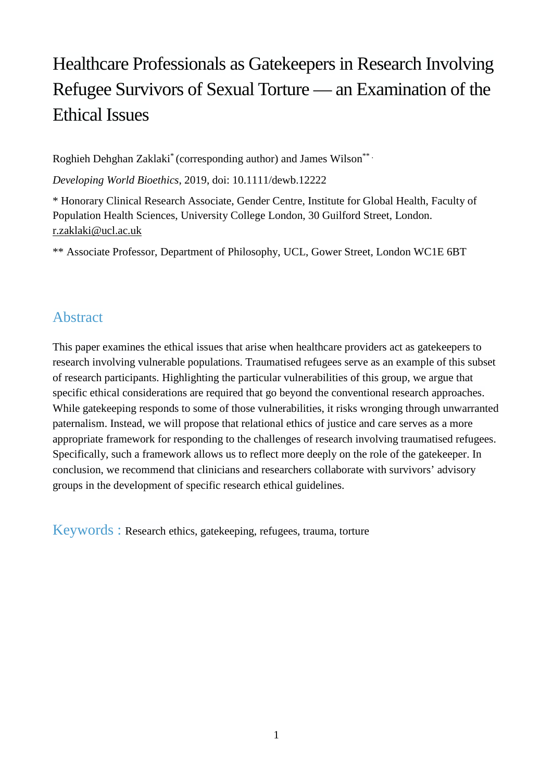# Healthcare Professionals as Gatekeepers in Research Involving Refugee Survivors of Sexual Torture — an Examination of the Ethical Issues

Roghieh Dehghan Zaklaki\* (corresponding author) and James Wilson\*\* .

*Developing World Bioethics*, 2019, doi: 10.1111/dewb.12222

\* Honorary Clinical Research Associate, Gender Centre, Institute for Global Health, Faculty of Population Health Sciences, University College London, 30 Guilford Street, London. [r.zaklaki@ucl.ac.uk](mailto:r.zaklaki@ucl.ac.uk) 

\*\* Associate Professor, Department of Philosophy, UCL, Gower Street, London WC1E 6BT

### Abstract

This paper examines the ethical issues that arise when healthcare providers act as gatekeepers to research involving vulnerable populations. Traumatised refugees serve as an example of this subset of research participants. Highlighting the particular vulnerabilities of this group, we argue that specific ethical considerations are required that go beyond the conventional research approaches. While gatekeeping responds to some of those vulnerabilities, it risks wronging through unwarranted paternalism. Instead, we will propose that relational ethics of justice and care serves as a more appropriate framework for responding to the challenges of research involving traumatised refugees. Specifically, such a framework allows us to reflect more deeply on the role of the gatekeeper. In conclusion, we recommend that clinicians and researchers collaborate with survivors' advisory groups in the development of specific research ethical guidelines.

Keywords : Research ethics, gatekeeping, refugees, trauma, torture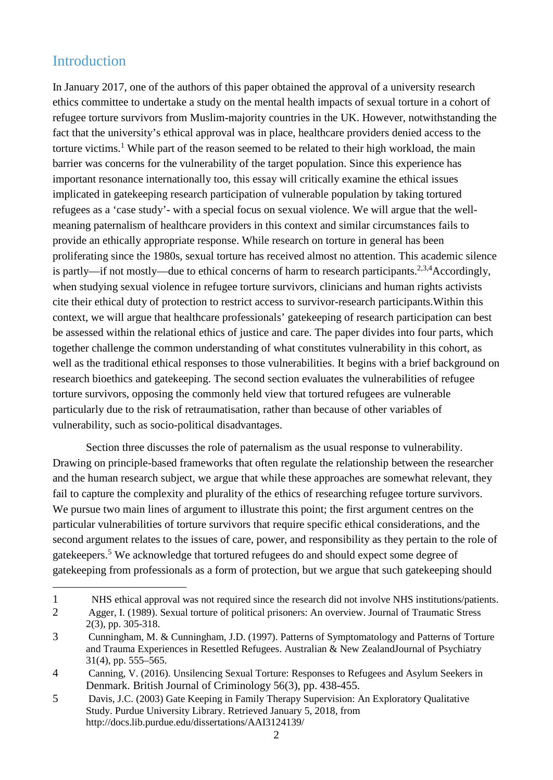### Introduction

<u>.</u>

In January 2017, one of the authors of this paper obtained the approval of a university research ethics committee to undertake a study on the mental health impacts of sexual torture in a cohort of refugee torture survivors from Muslim-majority countries in the UK. However, notwithstanding the fact that the university's ethical approval was in place, healthcare providers denied access to the torture victims.<sup>1</sup> While part of the reason seemed to be related to their high workload, the main barrier was concerns for the vulnerability of the target population. Since this experience has important resonance internationally too, this essay will critically examine the ethical issues implicated in gatekeeping research participation of vulnerable population by taking tortured refugees as a 'case study'- with a special focus on sexual violence. We will argue that the wellmeaning paternalism of healthcare providers in this context and similar circumstances fails to provide an ethically appropriate response. While research on torture in general has been proliferating since the 1980s, sexual torture has received almost no attention. This academic silence is partly—if not mostly—due to ethical concerns of harm to research participants.<sup>2,3,4</sup>Accordingly, when studying sexual violence in refugee torture survivors, clinicians and human rights activists cite their ethical duty of protection to restrict access to survivor-research participants.Within this context, we will argue that healthcare professionals' gatekeeping of research participation can best be assessed within the relational ethics of justice and care. The paper divides into four parts, which together challenge the common understanding of what constitutes vulnerability in this cohort, as well as the traditional ethical responses to those vulnerabilities. It begins with a brief background on research bioethics and gatekeeping. The second section evaluates the vulnerabilities of refugee torture survivors, opposing the commonly held view that tortured refugees are vulnerable particularly due to the risk of retraumatisation, rather than because of other variables of vulnerability, such as socio-political disadvantages.

Section three discusses the role of paternalism as the usual response to vulnerability. Drawing on principle-based frameworks that often regulate the relationship between the researcher and the human research subject, we argue that while these approaches are somewhat relevant, they fail to capture the complexity and plurality of the ethics of researching refugee torture survivors. We pursue two main lines of argument to illustrate this point; the first argument centres on the particular vulnerabilities of torture survivors that require specific ethical considerations, and the second argument relates to the issues of care, power, and responsibility as they pertain to the role of gatekeepers.<sup>5</sup> We acknowledge that tortured refugees do and should expect some degree of gatekeeping from professionals as a form of protection, but we argue that such gatekeeping should

<sup>1</sup> NHS ethical approval was not required since the research did not involve NHS institutions/patients.

<sup>2</sup> Agger, I. (1989). Sexual torture of political prisoners: An overview. Journal of Traumatic Stress 2(3), pp. 305-318.

<sup>3</sup> Cunningham, M. & Cunningham, J.D. (1997). Patterns of Symptomatology and Patterns of Torture and Trauma Experiences in Resettled Refugees. Australian & New ZealandJournal of Psychiatry 31(4), pp. 555–565.

<sup>4</sup> Canning, V. (2016). Unsilencing Sexual Torture: Responses to Refugees and Asylum Seekers in Denmark. British Journal of Criminology 56(3), pp. 438-455.

<sup>5</sup> Davis, J.C. (2003) Gate Keeping in Family Therapy Supervision: An Exploratory Qualitative Study. Purdue University Library. Retrieved January 5, 2018, from <http://docs.lib.purdue.edu/dissertations/AAI3124139/>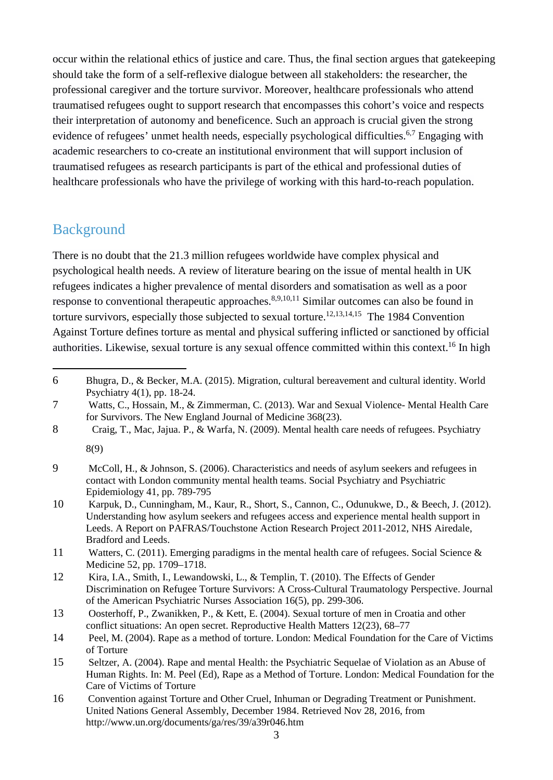occur within the relational ethics of justice and care. Thus, the final section argues that gatekeeping should take the form of a self-reflexive dialogue between all stakeholders: the researcher, the professional caregiver and the torture survivor. Moreover, healthcare professionals who attend traumatised refugees ought to support research that encompasses this cohort's voice and respects their interpretation of autonomy and beneficence. Such an approach is crucial given the strong evidence of refugees' unmet health needs, especially psychological difficulties.<sup>6,7</sup> Engaging with academic researchers to co-create an institutional environment that will support inclusion of traumatised refugees as research participants is part of the ethical and professional duties of healthcare professionals who have the privilege of working with this hard-to-reach population.

## Background

1

There is no doubt that the 21.3 million refugees worldwide have complex physical and psychological health needs. A review of literature bearing on the issue of mental health in UK refugees indicates a higher prevalence of mental disorders and somatisation as well as a poor response to conventional therapeutic approaches.<sup>8,9,10,11</sup> Similar outcomes can also be found in torture survivors, especially those subjected to sexual torture.<sup>12,13,14,15</sup> The 1984 Convention Against Torture defines torture as mental and physical suffering inflicted or sanctioned by official authorities. Likewise, sexual torture is any sexual offence committed within this context.<sup>16</sup> In high

<sup>6</sup> Bhugra, D., & Becker, M.A. (2015). Migration, cultural bereavement and cultural identity. World Psychiatry 4(1), pp. 18-24.

<sup>7</sup> Watts, C., Hossain, M., & Zimmerman, C. (2013). War and Sexual Violence- Mental Health Care for Survivors. The New England Journal of Medicine 368(23).

<sup>8</sup> Craig, T., Mac, Jajua. P., & Warfa, N. (2009). Mental health care needs of refugees. Psychiatry 8(9)

<sup>9</sup> McColl, H., & Johnson, S. (2006). Characteristics and needs of asylum seekers and refugees in contact with London community mental health teams. Social Psychiatry and Psychiatric Epidemiology 41, pp. 789-795

<sup>10</sup> Karpuk, D., Cunningham, M., Kaur, R., Short, S., Cannon, C., Odunukwe, D., & Beech, J. (2012). Understanding how asylum seekers and refugees access and experience mental health support in Leeds. A Report on PAFRAS/Touchstone Action Research Project 2011-2012, NHS Airedale, Bradford and Leeds.

<sup>11</sup> Watters, C. (2011). Emerging paradigms in the mental health care of refugees. Social Science & Medicine 52, pp. 1709–1718.

<sup>12</sup> Kira, I.A., Smith, I., Lewandowski, L., & Templin, T. (2010). The Effects of Gender Discrimination on Refugee Torture Survivors: A Cross-Cultural Traumatology Perspective. Journal of the American Psychiatric Nurses Association 16(5), pp. 299-306.

<sup>13</sup> Oosterhoff, P., Zwanikken, P., & Kett, E. (2004). Sexual torture of men in Croatia and other conflict situations: An open secret. Reproductive Health Matters 12(23), 68–77

<sup>14</sup> Peel, M. (2004). Rape as a method of torture. London: Medical Foundation for the Care of Victims of Torture

<sup>15</sup> Seltzer, A. (2004). Rape and mental Health: the Psychiatric Sequelae of Violation as an Abuse of Human Rights. In: M. Peel (Ed), Rape as a Method of Torture. London: Medical Foundation for the Care of Victims of Torture

<sup>16</sup> Convention against Torture and Other Cruel, Inhuman or Degrading Treatment or Punishment. United Nations General Assembly, December 1984. Retrieved Nov 28, 2016, from <http://www.un.org/documents/ga/res/39/a39r046.htm>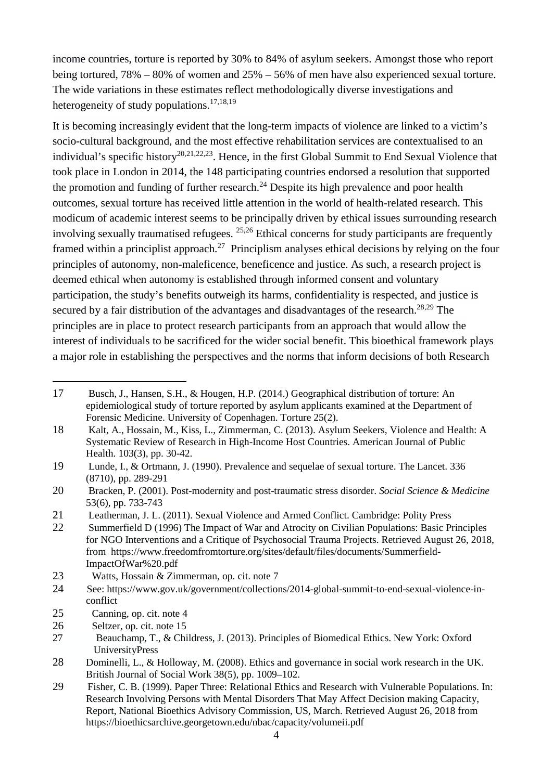income countries, torture is reported by 30% to 84% of asylum seekers. Amongst those who report being tortured, 78% – 80% of women and 25% – 56% of men have also experienced sexual torture. The wide variations in these estimates reflect methodologically diverse investigations and heterogeneity of study populations. $17,18,19$ 

It is becoming increasingly evident that the long-term impacts of violence are linked to a victim's socio-cultural background, and the most effective rehabilitation services are contextualised to an individual's specific history<sup>20,21,22,23</sup>. Hence, in the first Global Summit to End Sexual Violence that took place in London in 2014, the 148 participating countries endorsed a resolution that supported the promotion and funding of further research.<sup>24</sup> Despite its high prevalence and poor health outcomes, sexual torture has received little attention in the world of health-related research. This modicum of academic interest seems to be principally driven by ethical issues surrounding research involving sexually traumatised refugees. 25,26 Ethical concerns for study participants are frequently framed within a principlist approach.<sup>27</sup> Principlism analyses ethical decisions by relying on the four principles of autonomy, non-maleficence, beneficence and justice. As such, a research project is deemed ethical when autonomy is established through informed consent and voluntary participation, the study's benefits outweigh its harms, confidentiality is respected, and justice is secured by a fair distribution of the advantages and disadvantages of the research.<sup>28,29</sup> The principles are in place to protect research participants from an approach that would allow the interest of individuals to be sacrificed for the wider social benefit. This bioethical framework plays a major role in establishing the perspectives and the norms that inform decisions of both Research

- 19 Lunde, I., & Ortmann, J. (1990). Prevalence and sequelae of sexual torture. The Lancet. 336 (8710), pp. 289-291
- 20 Bracken, P. (2001). Post-modernity and post-traumatic stress disorder. *Social Science & Medicine*  53(6), pp. 733-743
- 21 Leatherman, J. L. (2011). Sexual Violence and Armed Conflict. Cambridge: Polity Press
- 22 Summerfield D (1996) The Impact of War and Atrocity on Civilian Populations: Basic Principles for NGO Interventions and a Critique of Psychosocial Trauma Projects. Retrieved August 26, 2018, from [https://www.freedomfromtorture.org/sites/default/files/documents/Summerfield-](https://www.freedomfromtorture.org/sites/default/files/documents/Summerfield-ImpactOfWar%2525252520.pdf)[ImpactOfWar%20.pdf](https://www.freedomfromtorture.org/sites/default/files/documents/Summerfield-ImpactOfWar%2525252520.pdf)
- 23 Watts, Hossain & Zimmerman, op. cit. note 7
- 24 See: https://www.gov.uk/government/collections/2014-global-summit-to-end-sexual-violence-inconflict
- 25 Canning, op. cit. note 4

- 26 Seltzer, op. cit. note 15
- 27 Beauchamp, T., & Childress, J. (2013). Principles of Biomedical Ethics. New York: Oxford UniversityPress
- 28 Dominelli, L., & Holloway, M. (2008). Ethics and governance in social work research in the UK. British Journal of Social Work 38(5), pp. 1009–102.
- 29 Fisher, C. B. (1999). Paper Three: Relational Ethics and Research with Vulnerable Populations. In: Research Involving Persons with Mental Disorders That May Affect Decision making Capacity, Report, National Bioethics Advisory Commission, US, March. Retrieved August 26, 2018 from <https://bioethicsarchive.georgetown.edu/nbac/capacity/volumeii.pdf>

<sup>17</sup> Busch, J., Hansen, S.H., & Hougen, H.P. (2014.) Geographical distribution of torture: An epidemiological study of torture reported by asylum applicants examined at the Department of Forensic Medicine. University of Copenhagen. Torture 25(2).

<sup>18</sup> Kalt, A., Hossain, M., Kiss, L., Zimmerman, C. (2013). Asylum Seekers, Violence and Health: A Systematic Review of Research in High-Income Host Countries. American Journal of Public Health. 103(3), pp. 30-42.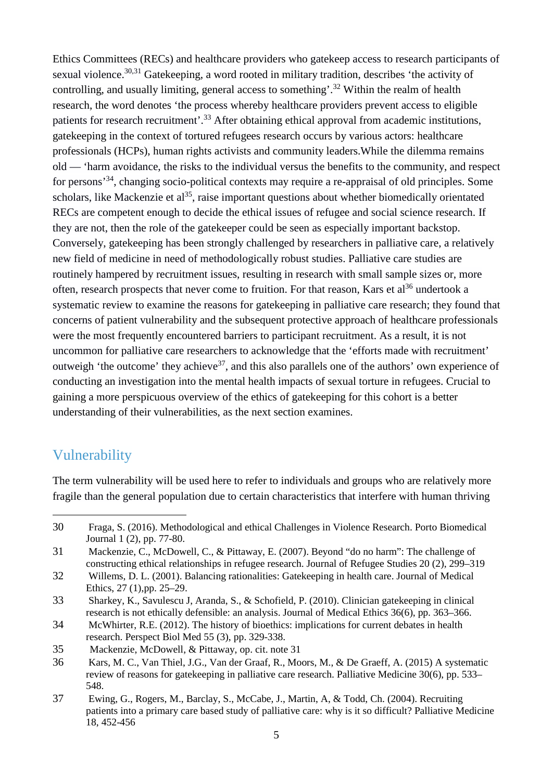Ethics Committees (RECs) and healthcare providers who gatekeep access to research participants of sexual violence.<sup>30,31</sup> Gatekeeping, a word rooted in military tradition, describes 'the activity of controlling, and usually limiting, general access to something'.<sup>32</sup> Within the realm of health research, the word denotes 'the process whereby healthcare providers prevent access to eligible patients for research recruitment'.<sup>33</sup> After obtaining ethical approval from academic institutions, gatekeeping in the context of tortured refugees research occurs by various actors: healthcare professionals (HCPs), human rights activists and community leaders.While the dilemma remains old — 'harm avoidance, the risks to the individual versus the benefits to the community, and respect for persons'<sup>34</sup>, changing socio-political contexts may require a re-appraisal of old principles. Some scholars, like Mackenzie et al<sup>35</sup>, raise important questions about whether biomedically orientated RECs are competent enough to decide the ethical issues of refugee and social science research. If they are not, then the role of the gatekeeper could be seen as especially important backstop. Conversely, gatekeeping has been strongly challenged by researchers in palliative care, a relatively new field of medicine in need of methodologically robust studies. Palliative care studies are routinely hampered by recruitment issues, resulting in research with small sample sizes or, more often, research prospects that never come to fruition. For that reason, Kars et al<sup>36</sup> undertook a systematic review to examine the reasons for gatekeeping in palliative care research; they found that concerns of patient vulnerability and the subsequent protective approach of healthcare professionals were the most frequently encountered barriers to participant recruitment. As a result, it is not uncommon for palliative care researchers to acknowledge that the 'efforts made with recruitment' outweigh 'the outcome' they achieve<sup>37</sup>, and this also parallels one of the authors' own experience of conducting an investigation into the mental health impacts of sexual torture in refugees. Crucial to gaining a more perspicuous overview of the ethics of gatekeeping for this cohort is a better understanding of their vulnerabilities, as the next section examines.

### Vulnerability

1

The term vulnerability will be used here to refer to individuals and groups who are relatively more fragile than the general population due to certain characteristics that interfere with human thriving

<sup>30</sup> Fraga, S. (2016). Methodological and ethical Challenges in Violence Research. Porto Biomedical Journal [1 \(2\)](https://www.sciencedirect.com/science/journal/24448664/1/2), pp. 77-80.

<sup>31</sup> Mackenzie, C., McDowell, C., & Pittaway, E. (2007). Beyond "do no harm": The challenge of constructing ethical relationships in refugee research. Journal of Refugee Studies 20 (2), 299–319

<sup>32</sup> Willems, D. L. (2001). Balancing rationalities: Gatekeeping in health care. Journal of Medical Ethics, 27 (1),pp. 25–29.

<sup>33</sup> [Sharkey, K.](https://www.ncbi.nlm.nih.gov/pubmed/?term=Sharkey%252520K%2525255BAuthor%2525255D&cauthor=true&cauthor_uid=20439334), [Savulescu J,](https://www.ncbi.nlm.nih.gov/pubmed/?term=Savulescu%252520J%2525255BAuthor%2525255D&cauthor=true&cauthor_uid=20439334) [Aranda, S.](https://www.ncbi.nlm.nih.gov/pubmed/?term=Aranda%252520S%2525255BAuthor%2525255D&cauthor=true&cauthor_uid=20439334), & [Schofield, P.](https://www.ncbi.nlm.nih.gov/pubmed/?term=Schofield%252520P%2525255BAuthor%2525255D&cauthor=true&cauthor_uid=20439334) (2010). Clinician gatekeeping in clinical research is not ethically defensible: an analysis. Journal of Medical Ethics 36(6), pp. 363–366.

<sup>34</sup> McWhirter, R.E. (2012). The history of bioethics: implications for current debates in health research. Perspect Biol Med 55 (3), pp. 329-338.

<sup>35</sup> Mackenzie, McDowell, & Pittaway, op. cit. note 31

<sup>36</sup> Kars, M. C., Van Thiel, J.G., Van der Graaf, R., Moors, M., & De Graeff, A. (2015) A systematic review of reasons for gatekeeping in palliative care research. Palliative Medicine 30(6), pp. 533– 548.

<sup>37</sup> Ewing, G., Rogers, M., Barclay, S., McCabe, J., Martin, A, & Todd, Ch. (2004). Recruiting patients into a primary care based study of palliative care: why is it so difficult? Palliative Medicine 18, 452-456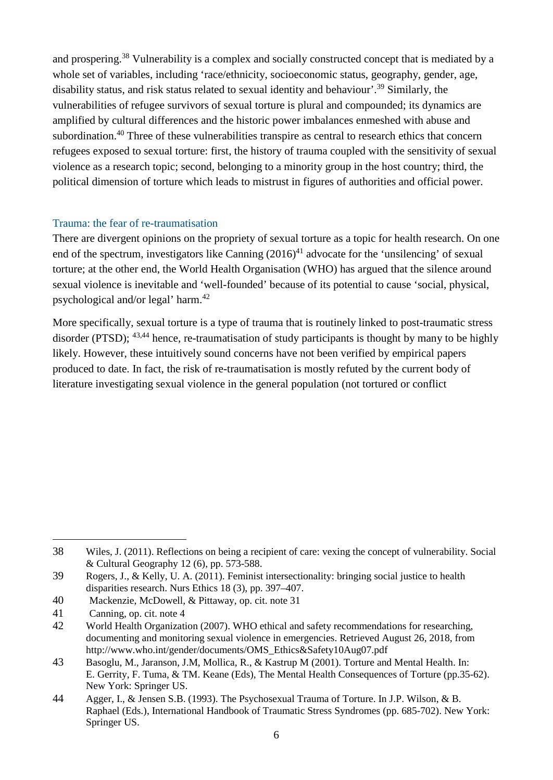and prospering.<sup>38</sup> Vulnerability is a complex and socially constructed concept that is mediated by a whole set of variables, including 'race/ethnicity, socioeconomic status, geography, gender, age, disability status, and risk status related to sexual identity and behaviour'.<sup>39</sup> Similarly, the vulnerabilities of refugee survivors of sexual torture is plural and compounded; its dynamics are amplified by cultural differences and the historic power imbalances enmeshed with abuse and subordination.<sup>40</sup> Three of these vulnerabilities transpire as central to research ethics that concern refugees exposed to sexual torture: first, the history of trauma coupled with the sensitivity of sexual violence as a research topic; second, belonging to a minority group in the host country; third, the political dimension of torture which leads to mistrust in figures of authorities and official power.

#### Trauma: the fear of re-traumatisation

There are divergent opinions on the propriety of sexual torture as a topic for health research. On one end of the spectrum, investigators like Canning  $(2016)^{41}$  advocate for the 'unsilencing' of sexual torture; at the other end, the World Health Organisation (WHO) has argued that the silence around sexual violence is inevitable and 'well-founded' because of its potential to cause 'social, physical, psychological and/or legal' harm.<sup>42</sup>

More specifically, sexual torture is a type of trauma that is routinely linked to post-traumatic stress disorder (PTSD); <sup>43,44</sup> hence, re-traumatisation of study participants is thought by many to be highly likely. However, these intuitively sound concerns have not been verified by empirical papers produced to date. In fact, the risk of re-traumatisation is mostly refuted by the current body of literature investigating sexual violence in the general population (not tortured or conflict

40 Mackenzie, McDowell, & Pittaway, op. cit. note 31

<u>.</u>

<sup>38</sup> Wiles, J. (2011). Reflections on being a recipient of care: vexing the concept of vulnerability. Social & Cultural Geography 12 (6), pp. 573-588.

<sup>39</sup> Rogers, J., & Kelly, U. A. (2011). Feminist intersectionality: bringing social justice to health disparities research. Nurs Ethics 18 (3), pp. 397–407.

<sup>41</sup> Canning, op. cit. note 4

<sup>42</sup> World Health Organization (2007). WHO ethical and safety recommendations for researching, documenting and monitoring sexual violence in emergencies. Retrieved August 26, 2018, from [http://www.who.int/gender/documents/OMS\\_Ethics&Safety10Aug07.pdf](http://www.who.int/gender/documents/OMS_Ethics&Safety10Aug07.pdf)

<sup>43</sup> Basoglu, M., Jaranson, J.M, Mollica, R., & Kastrup M (2001). Torture and Mental Health. In: E. Gerrity, F. Tuma, & TM. Keane (Eds), The Mental Health Consequences of Torture (pp.35-62). New York: Springer US.

<sup>44</sup> Agger, I., & Jensen S.B. (1993). The Psychosexual Trauma of Torture. In J.P. Wilson, & B. Raphael (Eds.), International Handbook of Traumatic Stress Syndromes (pp. 685-702). New York: Springer US.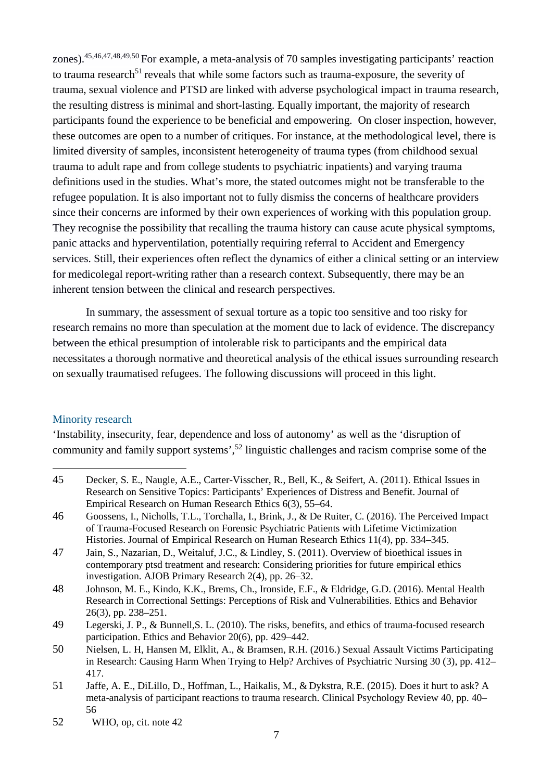zones).45,46,47,48,49,50 For example, a meta-analysis of 70 samples investigating participants' reaction to trauma research<sup>51</sup> reveals that while some factors such as trauma-exposure, the severity of trauma, sexual violence and PTSD are linked with adverse psychological impact in trauma research, the resulting distress is minimal and short-lasting. Equally important, the majority of research participants found the experience to be beneficial and empowering. On closer inspection, however, these outcomes are open to a number of critiques. For instance, at the methodological level, there is limited diversity of samples, inconsistent heterogeneity of trauma types (from childhood sexual trauma to adult rape and from college students to psychiatric inpatients) and varying trauma definitions used in the studies. What's more, the stated outcomes might not be transferable to the refugee population. It is also important not to fully dismiss the concerns of healthcare providers since their concerns are informed by their own experiences of working with this population group. They recognise the possibility that recalling the trauma history can cause acute physical symptoms, panic attacks and hyperventilation, potentially requiring referral to Accident and Emergency services. Still, their experiences often reflect the dynamics of either a clinical setting or an interview for medicolegal report-writing rather than a research context. Subsequently, there may be an inherent tension between the clinical and research perspectives.

In summary, the assessment of sexual torture as a topic too sensitive and too risky for research remains no more than speculation at the moment due to lack of evidence. The discrepancy between the ethical presumption of intolerable risk to participants and the empirical data necessitates a thorough normative and theoretical analysis of the ethical issues surrounding research on sexually traumatised refugees. The following discussions will proceed in this light.

#### Minority research

1

'Instability, insecurity, fear, dependence and loss of autonomy' as well as the 'disruption of community and family support systems',<sup>52</sup> linguistic challenges and racism comprise some of the

- 45 Decker, S. E., Naugle, A.E., Carter-Visscher, R., Bell, K., & Seifert, A. (2011). Ethical Issues in Research on Sensitive Topics: Participants' Experiences of Distress and Benefit. Journal of Empirical Research on Human Research Ethics 6(3), 55–64.
- 46 Goossens, I., Nicholls, T.L., Torchalla, I., Brink, J., & De Ruiter, C. (2016). The Perceived Impact of Trauma-Focused Research on Forensic Psychiatric Patients with Lifetime Victimization Histories. Journal of Empirical Research on Human Research Ethics 11(4), pp. 334–345.
- 47 Jain, S., Nazarian, D., Weitaluf, J.C., & Lindley, S. (2011). Overview of bioethical issues in contemporary ptsd treatment and research: Considering priorities for future empirical ethics investigation. AJOB Primary Research 2(4), pp. 26–32.
- 48 Johnson, M. E., Kindo, K.K., Brems, Ch., Ironside, E.F., & Eldridge, G.D. (2016). Mental Health Research in Correctional Settings: Perceptions of Risk and Vulnerabilities. Ethics and Behavior 26(3), pp. 238–251.
- 49 Legerski, J. P., & Bunnell,S. L. (2010). The risks, benefits, and ethics of trauma-focused research participation. Ethics and Behavior 20(6), pp. 429–442.
- 50 Nielsen, L. H, Hansen M, Elklit, A., & Bramsen, R.H. (2016.) Sexual Assault Victims Participating in Research: Causing Harm When Trying to Help? Archives of Psychiatric Nursing 30 (3), pp. 412– 417.
- 51 Jaffe, A. E., DiLillo, D., Hoffman, L., [Haikalis, M.](https://www.ncbi.nlm.nih.gov/pubmed/?term=Haikalis%25252525252520M%2525252525255BAuthor%2525252525255D&cauthor=true&cauthor_uid=26051308), &Dykstra, R.E. (2015). Does it hurt to ask? A meta-analysis of participant reactions to trauma research. Clinical Psychology Review 40, pp. 40– 56

<sup>52</sup> WHO, op, cit. note 42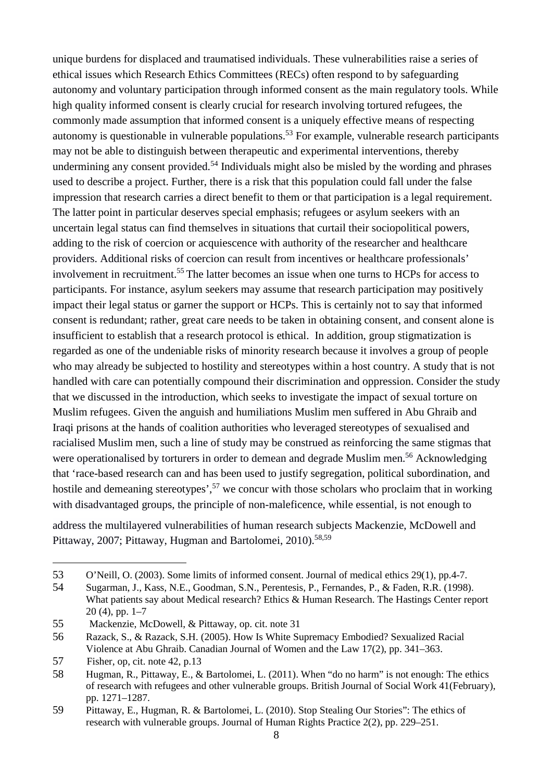unique burdens for displaced and traumatised individuals. These vulnerabilities raise a series of ethical issues which Research Ethics Committees (RECs) often respond to by safeguarding autonomy and voluntary participation through informed consent as the main regulatory tools. While high quality informed consent is clearly crucial for research involving tortured refugees, the commonly made assumption that informed consent is a uniquely effective means of respecting autonomy is questionable in vulnerable populations.<sup>53</sup> For example, vulnerable research participants may not be able to distinguish between therapeutic and experimental interventions, thereby undermining any consent provided.<sup>54</sup> Individuals might also be misled by the wording and phrases used to describe a project. Further, there is a risk that this population could fall under the false impression that research carries a direct benefit to them or that participation is a legal requirement. The latter point in particular deserves special emphasis; refugees or asylum seekers with an uncertain legal status can find themselves in situations that curtail their sociopolitical powers, adding to the risk of coercion or acquiescence with authority of the researcher and healthcare providers. Additional risks of coercion can result from incentives or healthcare professionals' involvement in recruitment.<sup>55</sup> The latter becomes an issue when one turns to HCPs for access to participants. For instance, asylum seekers may assume that research participation may positively impact their legal status or garner the support or HCPs. This is certainly not to say that informed consent is redundant; rather, great care needs to be taken in obtaining consent, and consent alone is insufficient to establish that a research protocol is ethical. In addition, group stigmatization is regarded as one of the undeniable risks of minority research because it involves a group of people who may already be subjected to hostility and stereotypes within a host country. A study that is not handled with care can potentially compound their discrimination and oppression. Consider the study that we discussed in the introduction, which seeks to investigate the impact of sexual torture on Muslim refugees. Given the anguish and humiliations Muslim men suffered in Abu Ghraib and Iraqi prisons at the hands of coalition authorities who leveraged stereotypes of sexualised and racialised Muslim men, such a line of study may be construed as reinforcing the same stigmas that were operationalised by torturers in order to demean and degrade Muslim men.<sup>56</sup> Acknowledging that 'race-based research can and has been used to justify segregation, political subordination, and hostile and demeaning stereotypes',<sup>57</sup> we concur with those scholars who proclaim that in working with disadvantaged groups, the principle of non-maleficence, while essential, is not enough to

address the multilayered vulnerabilities of human research subjects Mackenzie, McDowell and Pittaway, 2007; Pittaway, Hugman and Bartolomei, 2010).<sup>58,59</sup>

<sup>53</sup> O'Neill, O. (2003). Some limits of informed consent. Journal of medical ethics 29(1), pp.4-7.

<sup>54</sup> Sugarman, J., Kass, N.E., Goodman, S.N., Perentesis, P., Fernandes, P., & Faden, R.R. (1998). What patients say about Medical research? Ethics & Human Research. The Hastings Center report 20 (4), pp. 1–7

<sup>55</sup> Mackenzie, McDowell, & Pittaway, op. cit. note 31

<sup>56</sup> Razack, S., & Razack, S.H. (2005). How Is White Supremacy Embodied? Sexualized Racial Violence at Abu Ghraib. Canadian Journal of Women and the Law 17(2), pp. 341–363.

<sup>57</sup> Fisher, op, cit. note 42, p.13

<sup>58</sup> Hugman, R., Pittaway, E., & Bartolomei, L. (2011). When "do no harm" is not enough: The ethics of research with refugees and other vulnerable groups. British Journal of Social Work 41(February), pp. 1271–1287.

<sup>59</sup> Pittaway, E., Hugman, R. & Bartolomei, L. (2010). Stop Stealing Our Stories": The ethics of research with vulnerable groups. Journal of Human Rights Practice 2(2), pp. 229–251.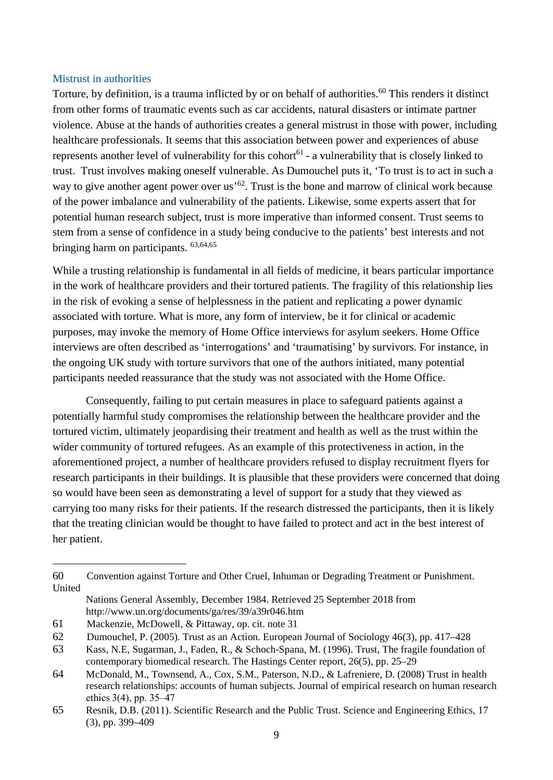#### Mistrust in authorities

Torture, by definition, is a trauma inflicted by or on behalf of authorities.<sup>60</sup> This renders it distinct from other forms of traumatic events such as car accidents, natural disasters or intimate partner violence. Abuse at the hands of authorities creates a general mistrust in those with power, including healthcare professionals. It seems that this association between power and experiences of abuse represents another level of vulnerability for this cohort<sup> $61$ </sup> - a vulnerability that is closely linked to trust. Trust involves making oneself vulnerable. As Dumouchel puts it, 'To trust is to act in such a way to give another agent power over us<sup> $52$ </sup>. Trust is the bone and marrow of clinical work because of the power imbalance and vulnerability of the patients. Likewise, some experts assert that for potential human research subject, trust is more imperative than informed consent. Trust seems to stem from a sense of confidence in a study being conducive to the patients' best interests and not bringing harm on participants. 63,64,65

While a trusting relationship is fundamental in all fields of medicine, it bears particular importance in the work of healthcare providers and their tortured patients. The fragility of this relationship lies in the risk of evoking a sense of helplessness in the patient and replicating a power dynamic associated with torture. What is more, any form of interview, be it for clinical or academic purposes, may invoke the memory of Home Office interviews for asylum seekers. Home Office interviews are often described as 'interrogations' and 'traumatising' by survivors. For instance, in the ongoing UK study with torture survivors that one of the authors initiated, many potential participants needed reassurance that the study was not associated with the Home Office.

Consequently, failing to put certain measures in place to safeguard patients against a potentially harmful study compromises the relationship between the healthcare provider and the tortured victim, ultimately jeopardising their treatment and health as well as the trust within the wider community of tortured refugees. As an example of this protectiveness in action, in the aforementioned project, a number of healthcare providers refused to display recruitment flyers for research participants in their buildings. It is plausible that these providers were concerned that doing so would have been seen as demonstrating a level of support for a study that they viewed as carrying too many risks for their patients. If the research distressed the participants, then it is likely that the treating clinician would be thought to have failed to protect and act in the best interest of her patient.

<sup>60</sup> Convention against Torture and Other Cruel, Inhuman or Degrading Treatment or Punishment. United

Nations General Assembly, December 1984. Retrieved 25 September 201[8 from](http://www.un.org/documents/ga/res/39/a39r046.htm)  <http://www.un.org/documents/ga/res/39/a39r046.htm>

<sup>61</sup> Mackenzie, McDowell, & Pittaway, op. cit. note 31

<sup>62</sup> Dumouchel, P. (2005). Trust as an Action. European Journal of Sociology 46(3), pp. 417–428

<sup>63</sup> [Kass, N.E,](https://www.ncbi.nlm.nih.gov/pubmed/?term=Kass%252520NE%2525255BAuthor%2525255D&cauthor=true&cauthor_uid=8891706) [Sugarman, J.](https://www.ncbi.nlm.nih.gov/pubmed/?term=Sugarman%252520J%2525255BAuthor%2525255D&cauthor=true&cauthor_uid=8891706), [Faden, R.](https://www.ncbi.nlm.nih.gov/pubmed/?term=Faden%252520R%2525255BAuthor%2525255D&cauthor=true&cauthor_uid=8891706), & [Schoch-Spana, M.](https://www.ncbi.nlm.nih.gov/pubmed/?term=Schoch-Spana%252520M%2525255BAuthor%2525255D&cauthor=true&cauthor_uid=8891706) (1996). Trust, The fragile foundation of contemporary biomedical research. The Hastings Center report, 26(5), pp. 25–29

<sup>64</sup> McDonald, M., Townsend, A., Cox, S.M., Paterson, N.D., & Lafreniere, D. (2008) Trust in health research relationships: accounts of human subjects. Journal of empirical research on human research ethics 3(4), pp. 35–47

<sup>65</sup> Resnik, D.B. (2011). Scientific Research and the Public Trust. Science and Engineering Ethics, 17 (3), pp. 399–409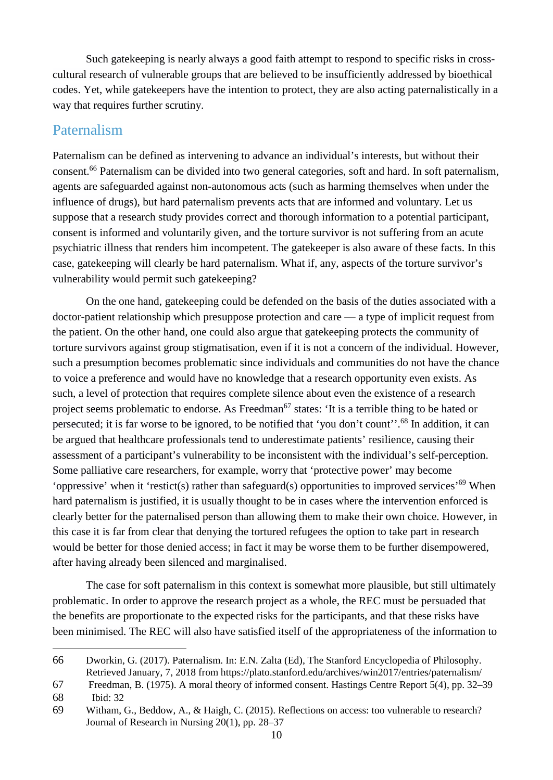Such gatekeeping is nearly always a good faith attempt to respond to specific risks in crosscultural research of vulnerable groups that are believed to be insufficiently addressed by bioethical codes. Yet, while gatekeepers have the intention to protect, they are also acting paternalistically in a way that requires further scrutiny.

### Paternalism

Paternalism can be defined as intervening to advance an individual's interests, but without their consent.<sup>66</sup> Paternalism can be divided into two general categories, soft and hard. In soft paternalism, agents are safeguarded against non-autonomous acts (such as harming themselves when under the influence of drugs), but hard paternalism prevents acts that are informed and voluntary. Let us suppose that a research study provides correct and thorough information to a potential participant, consent is informed and voluntarily given, and the torture survivor is not suffering from an acute psychiatric illness that renders him incompetent. The gatekeeper is also aware of these facts. In this case, gatekeeping will clearly be hard paternalism. What if, any, aspects of the torture survivor's vulnerability would permit such gatekeeping?

On the one hand, gatekeeping could be defended on the basis of the duties associated with a doctor-patient relationship which presuppose protection and care — a type of implicit request from the patient. On the other hand, one could also argue that gatekeeping protects the community of torture survivors against group stigmatisation, even if it is not a concern of the individual. However, such a presumption becomes problematic since individuals and communities do not have the chance to voice a preference and would have no knowledge that a research opportunity even exists. As such, a level of protection that requires complete silence about even the existence of a research project seems problematic to endorse. As Freedman<sup>67</sup> states: 'It is a terrible thing to be hated or persecuted; it is far worse to be ignored, to be notified that 'you don't count''.<sup>68</sup> In addition, it can be argued that healthcare professionals tend to underestimate patients' resilience, causing their assessment of a participant's vulnerability to be inconsistent with the individual's self-perception. Some palliative care researchers, for example, worry that 'protective power' may become 'oppressive' when it 'restict(s) rather than safeguard(s) opportunities to improved services'<sup>69</sup> When hard paternalism is justified, it is usually thought to be in cases where the intervention enforced is clearly better for the paternalised person than allowing them to make their own choice. However, in this case it is far from clear that denying the tortured refugees the option to take part in research would be better for those denied access; in fact it may be worse them to be further disempowered, after having already been silenced and marginalised.

The case for soft paternalism in this context is somewhat more plausible, but still ultimately problematic. In order to approve the research project as a whole, the REC must be persuaded that the benefits are proportionate to the expected risks for the participants, and that these risks have been minimised. The REC will also have satisfied itself of the appropriateness of the information to

<u>.</u>

<sup>66</sup> Dworkin, G. (2017). Paternalism. In: E.N. Zalta (Ed), The Stanford Encyclopedia of Philosophy. Retrieved January, 7, 2018 from<https://plato.stanford.edu/archives/win2017/entries/paternalism/>

<sup>67</sup> Freedman, B. (1975). A moral theory of informed consent. Hastings Centre Report 5(4), pp. 32–39

<sup>68</sup> Ibid: 32

<sup>69</sup> Witham, G., Beddow, A., & Haigh, C. (2015). Reflections on access: too vulnerable to research? Journal of Research in Nursing 20(1), pp. 28–37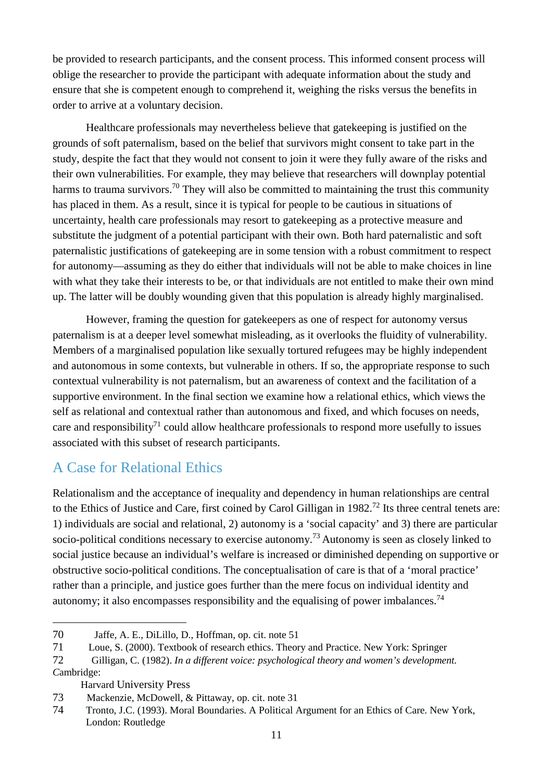be provided to research participants, and the consent process. This informed consent process will oblige the researcher to provide the participant with adequate information about the study and ensure that she is competent enough to comprehend it, weighing the risks versus the benefits in order to arrive at a voluntary decision.

Healthcare professionals may nevertheless believe that gatekeeping is justified on the grounds of soft paternalism, based on the belief that survivors might consent to take part in the study, despite the fact that they would not consent to join it were they fully aware of the risks and their own vulnerabilities. For example, they may believe that researchers will downplay potential harms to trauma survivors.<sup>70</sup> They will also be committed to maintaining the trust this community has placed in them. As a result, since it is typical for people to be cautious in situations of uncertainty, health care professionals may resort to gatekeeping as a protective measure and substitute the judgment of a potential participant with their own. Both hard paternalistic and soft paternalistic justifications of gatekeeping are in some tension with a robust commitment to respect for autonomy—assuming as they do either that individuals will not be able to make choices in line with what they take their interests to be, or that individuals are not entitled to make their own mind up. The latter will be doubly wounding given that this population is already highly marginalised.

However, framing the question for gatekeepers as one of respect for autonomy versus paternalism is at a deeper level somewhat misleading, as it overlooks the fluidity of vulnerability. Members of a marginalised population like sexually tortured refugees may be highly independent and autonomous in some contexts, but vulnerable in others. If so, the appropriate response to such contextual vulnerability is not paternalism, but an awareness of context and the facilitation of a supportive environment. In the final section we examine how a relational ethics, which views the self as relational and contextual rather than autonomous and fixed, and which focuses on needs, care and responsibility<sup>71</sup> could allow healthcare professionals to respond more usefully to issues associated with this subset of research participants.

## A Case for Relational Ethics

Relationalism and the acceptance of inequality and dependency in human relationships are central to the Ethics of Justice and Care, first coined by Carol Gilligan in 1982.<sup>72</sup> Its three central tenets are: 1) individuals are social and relational, 2) autonomy is a 'social capacity' and 3) there are particular socio-political conditions necessary to exercise autonomy.<sup>73</sup> Autonomy is seen as closely linked to social justice because an individual's welfare is increased or diminished depending on supportive or obstructive socio-political conditions. The conceptualisation of care is that of a 'moral practice' rather than a principle, and justice goes further than the mere focus on individual identity and autonomy; it also encompasses responsibility and the equalising of power imbalances.<sup>74</sup>

Harvard University Press

<sup>70</sup> Jaffe, A. E., DiLillo, D., Hoffman, op. cit. note 51

<sup>71</sup> Loue, S. (2000). Textbook of research ethics. Theory and Practice. New York: Springer

<sup>72</sup> Gilligan, C. (1982). *In a different voice: psychological theory and women's development. C*ambridge:

<sup>73</sup> Mackenzie, McDowell, & Pittaway, op. cit. note 31

<sup>74</sup> Tronto, J.C. (1993). Moral Boundaries. A Political Argument for an Ethics of Care. New York, London: Routledge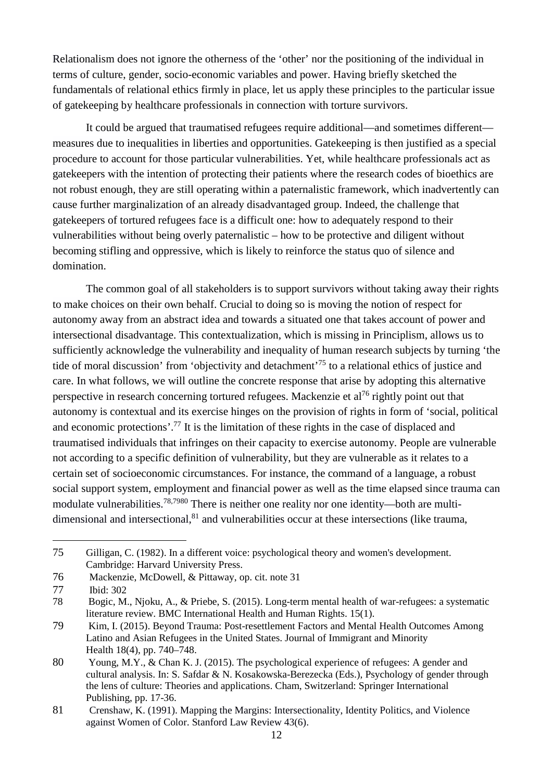Relationalism does not ignore the otherness of the 'other' nor the positioning of the individual in terms of culture, gender, socio-economic variables and power. Having briefly sketched the fundamentals of relational ethics firmly in place, let us apply these principles to the particular issue of gatekeeping by healthcare professionals in connection with torture survivors.

It could be argued that traumatised refugees require additional—and sometimes different measures due to inequalities in liberties and opportunities. Gatekeeping is then justified as a special procedure to account for those particular vulnerabilities. Yet, while healthcare professionals act as gatekeepers with the intention of protecting their patients where the research codes of bioethics are not robust enough, they are still operating within a paternalistic framework, which inadvertently can cause further marginalization of an already disadvantaged group. Indeed, the challenge that gatekeepers of tortured refugees face is a difficult one: how to adequately respond to their vulnerabilities without being overly paternalistic – how to be protective and diligent without becoming stifling and oppressive, which is likely to reinforce the status quo of silence and domination.

The common goal of all stakeholders is to support survivors without taking away their rights to make choices on their own behalf. Crucial to doing so is moving the notion of respect for autonomy away from an abstract idea and towards a situated one that takes account of power and intersectional disadvantage. This contextualization, which is missing in Principlism, allows us to sufficiently acknowledge the vulnerability and inequality of human research subjects by turning 'the tide of moral discussion' from 'objectivity and detachment'<sup>75</sup> to a relational ethics of justice and care. In what follows, we will outline the concrete response that arise by adopting this alternative perspective in research concerning tortured refugees. Mackenzie et al<sup>76</sup> rightly point out that autonomy is contextual and its exercise hinges on the provision of rights in form of 'social, political and economic protections'.<sup>77</sup> It is the limitation of these rights in the case of displaced and traumatised individuals that infringes on their capacity to exercise autonomy. People are vulnerable not according to a specific definition of vulnerability, but they are vulnerable as it relates to a certain set of socioeconomic circumstances. For instance, the command of a language, a robust social support system, employment and financial power as well as the time elapsed since trauma can modulate vulnerabilities.78,7980 There is neither one reality nor one identity—both are multidimensional and intersectional, $81$  and vulnerabilities occur at these intersections (like trauma,

<sup>75</sup> Gilligan, C. (1982). In a different voice: psychological theory and women's development. Cambridge: Harvard University Press.

<sup>76</sup> Mackenzie, McDowell, & Pittaway, op. cit. note 31

<sup>77</sup> Ibid: 302

<sup>78</sup> Bogic, M., Njoku, A., & Priebe, S. (2015). Long-term mental health of war-refugees: a systematic literature review. BMC International Health and Human Rights. 15(1).

<sup>79</sup> Kim, I. (2015). Beyond Trauma: Post-resettlement Factors and Mental Health Outcomes Among Latino and Asian Refugees in the United States. Journal of Immigrant and Minority Health 18(4), pp. 740–748.

<sup>80</sup> Young, M.Y., & Chan K. J. (2015). The psychological experience of refugees: A gender and cultural analysis. In: S. Safdar & N. Kosakowska-Berezecka (Eds.), Psychology of gender through the lens of culture: Theories and applications. Cham, Switzerland: Springer International Publishing, pp. 17-36.

<sup>81</sup> Crenshaw, K. (1991). Mapping the Margins: Intersectionality, Identity Politics, and Violence against Women of Color. Stanford Law Review 43(6).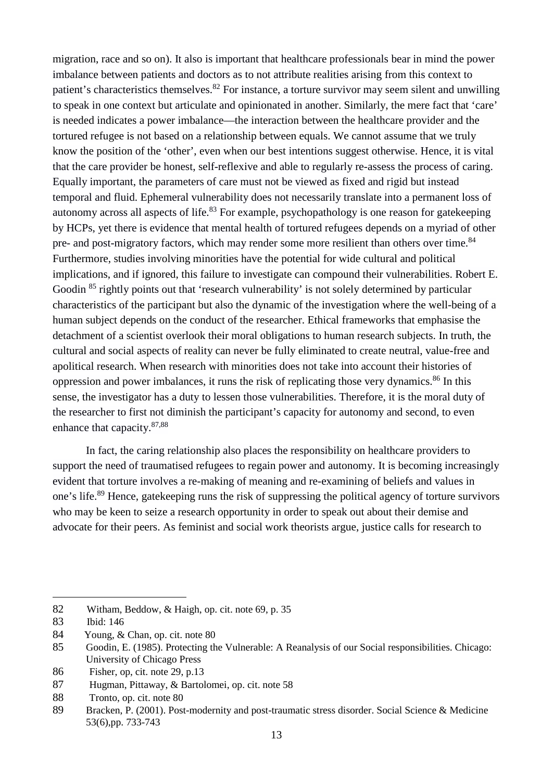migration, race and so on). It also is important that healthcare professionals bear in mind the power imbalance between patients and doctors as to not attribute realities arising from this context to patient's characteristics themselves.<sup>82</sup> For instance, a torture survivor may seem silent and unwilling to speak in one context but articulate and opinionated in another. Similarly, the mere fact that 'care' is needed indicates a power imbalance—the interaction between the healthcare provider and the tortured refugee is not based on a relationship between equals. We cannot assume that we truly know the position of the 'other', even when our best intentions suggest otherwise. Hence, it is vital that the care provider be honest, self-reflexive and able to regularly re-assess the process of caring. Equally important, the parameters of care must not be viewed as fixed and rigid but instead temporal and fluid. Ephemeral vulnerability does not necessarily translate into a permanent loss of autonomy across all aspects of life.<sup>83</sup> For example, psychopathology is one reason for gatekeeping by HCPs, yet there is evidence that mental health of tortured refugees depends on a myriad of other pre- and post-migratory factors, which may render some more resilient than others over time.<sup>84</sup> Furthermore, studies involving minorities have the potential for wide cultural and political implications, and if ignored, this failure to investigate can compound their vulnerabilities. Robert E. Goodin <sup>85</sup> rightly points out that 'research vulnerability' is not solely determined by particular characteristics of the participant but also the dynamic of the investigation where the well-being of a human subject depends on the conduct of the researcher. Ethical frameworks that emphasise the detachment of a scientist overlook their moral obligations to human research subjects. In truth, the cultural and social aspects of reality can never be fully eliminated to create neutral, value-free and apolitical research. When research with minorities does not take into account their histories of oppression and power imbalances, it runs the risk of replicating those very dynamics.<sup>86</sup> In this sense, the investigator has a duty to lessen those vulnerabilities. Therefore, it is the moral duty of the researcher to first not diminish the participant's capacity for autonomy and second, to even enhance that capacity.87,88

In fact, the caring relationship also places the responsibility on healthcare providers to support the need of traumatised refugees to regain power and autonomy. It is becoming increasingly evident that torture involves a re-making of meaning and re-examining of beliefs and values in one's life.<sup>89</sup> Hence, gatekeeping runs the risk of suppressing the political agency of torture survivors who may be keen to seize a research opportunity in order to speak out about their demise and advocate for their peers. As feminist and social work theorists argue, justice calls for research to

1

86 Fisher, op, cit. note 29, p.13

88 Tronto, op. cit. note 80

<sup>82</sup> Witham, Beddow, & Haigh, op. cit. note 69, p. 35

<sup>83</sup> Ibid: 146

<sup>84</sup> Young, & Chan, op. cit. note 80

<sup>85</sup> Goodin, E. (1985). Protecting the Vulnerable: A Reanalysis of our Social responsibilities. Chicago: University of Chicago Press

<sup>87</sup> Hugman, Pittaway, & Bartolomei, op. cit. note 58

<sup>89</sup> Bracken, P. (2001). Post-modernity and post-traumatic stress disorder. Social Science & Medicine 53(6),pp. 733-743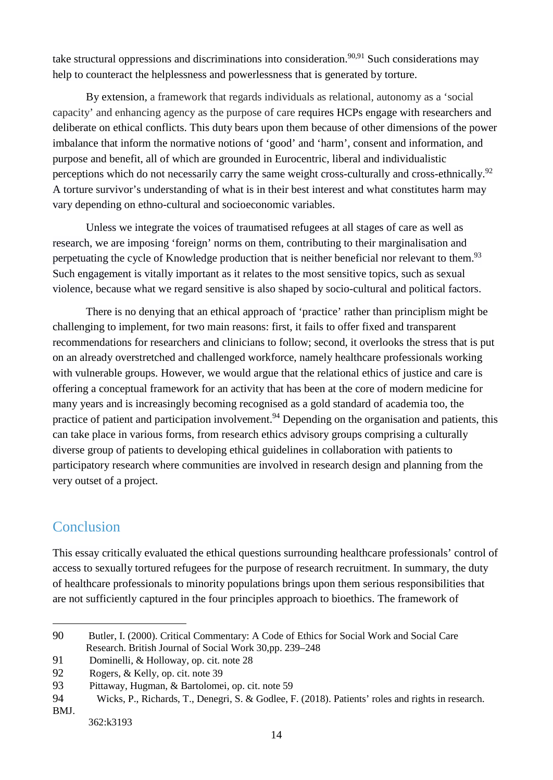take structural oppressions and discriminations into consideration.<sup>90,91</sup> Such considerations may help to counteract the helplessness and powerlessness that is generated by torture.

By extension, a framework that regards individuals as relational, autonomy as a 'social capacity' and enhancing agency as the purpose of care requires HCPs engage with researchers and deliberate on ethical conflicts. This duty bears upon them because of other dimensions of the power imbalance that inform the normative notions of 'good' and 'harm', consent and information, and purpose and benefit, all of which are grounded in Eurocentric, liberal and individualistic perceptions which do not necessarily carry the same weight cross-culturally and cross-ethnically.<sup>92</sup> A torture survivor's understanding of what is in their best interest and what constitutes harm may vary depending on ethno-cultural and socioeconomic variables.

Unless we integrate the voices of traumatised refugees at all stages of care as well as research, we are imposing 'foreign' norms on them, contributing to their marginalisation and perpetuating the cycle of Knowledge production that is neither beneficial nor relevant to them.<sup>93</sup> Such engagement is vitally important as it relates to the most sensitive topics, such as sexual violence, because what we regard sensitive is also shaped by socio-cultural and political factors.

There is no denying that an ethical approach of 'practice' rather than principlism might be challenging to implement, for two main reasons: first, it fails to offer fixed and transparent recommendations for researchers and clinicians to follow; second, it overlooks the stress that is put on an already overstretched and challenged workforce, namely healthcare professionals working with vulnerable groups. However, we would argue that the relational ethics of justice and care is offering a conceptual framework for an activity that has been at the core of modern medicine for many years and is increasingly becoming recognised as a gold standard of academia too, the practice of patient and participation involvement.<sup>94</sup> Depending on the organisation and patients, this can take place in various forms, from research ethics advisory groups comprising a culturally diverse group of patients to developing ethical guidelines in collaboration with patients to participatory research where communities are involved in research design and planning from the very outset of a project.

### Conclusion

1

This essay critically evaluated the ethical questions surrounding healthcare professionals' control of access to sexually tortured refugees for the purpose of research recruitment. In summary, the duty of healthcare professionals to minority populations brings upon them serious responsibilities that are not sufficiently captured in the four principles approach to bioethics. The framework of

<sup>90</sup> Butler, I. (2000). Critical Commentary: A Code of Ethics for Social Work and Social Care Research. British Journal of Social Work 30,pp. 239–248

<sup>91</sup> Dominelli, & Holloway, op. cit. note 28

<sup>92</sup> Rogers, & Kelly, op. cit. note 39

<sup>93</sup> Pittaway, Hugman, & Bartolomei, op. cit. note 59

<sup>94</sup> Wicks, P., Richards, T., Denegri, S. & Godlee, F. (2018). Patients' roles and rights in research. BMJ.

 <sup>362:</sup>k3193